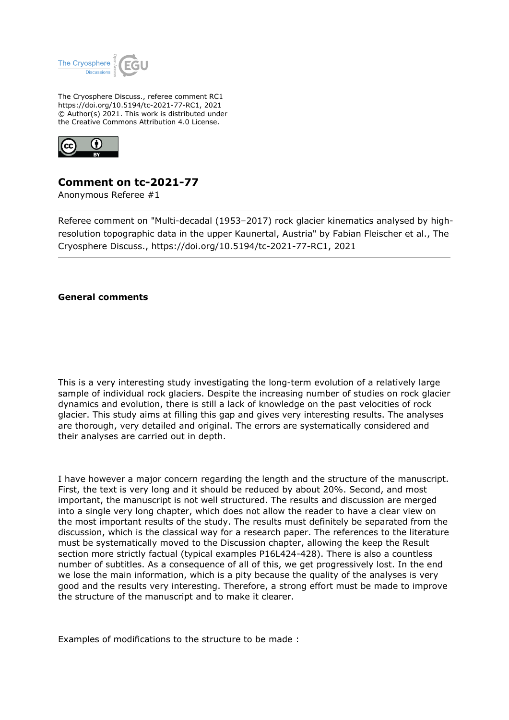

The Cryosphere Discuss., referee comment RC1 https://doi.org/10.5194/tc-2021-77-RC1, 2021 © Author(s) 2021. This work is distributed under the Creative Commons Attribution 4.0 License.



## **Comment on tc-2021-77**

Anonymous Referee #1

Referee comment on "Multi-decadal (1953–2017) rock glacier kinematics analysed by highresolution topographic data in the upper Kaunertal, Austria" by Fabian Fleischer et al., The Cryosphere Discuss., https://doi.org/10.5194/tc-2021-77-RC1, 2021

**General comments**

This is a very interesting study investigating the long-term evolution of a relatively large sample of individual rock glaciers. Despite the increasing number of studies on rock glacier dynamics and evolution, there is still a lack of knowledge on the past velocities of rock glacier. This study aims at filling this gap and gives very interesting results. The analyses are thorough, very detailed and original. The errors are systematically considered and their analyses are carried out in depth.

I have however a major concern regarding the length and the structure of the manuscript. First, the text is very long and it should be reduced by about 20%. Second, and most important, the manuscript is not well structured. The results and discussion are merged into a single very long chapter, which does not allow the reader to have a clear view on the most important results of the study. The results must definitely be separated from the discussion, which is the classical way for a research paper. The references to the literature must be systematically moved to the Discussion chapter, allowing the keep the Result section more strictly factual (typical examples P16L424-428). There is also a countless number of subtitles. As a consequence of all of this, we get progressively lost. In the end we lose the main information, which is a pity because the quality of the analyses is very good and the results very interesting. Therefore, a strong effort must be made to improve the structure of the manuscript and to make it clearer.

Examples of modifications to the structure to be made :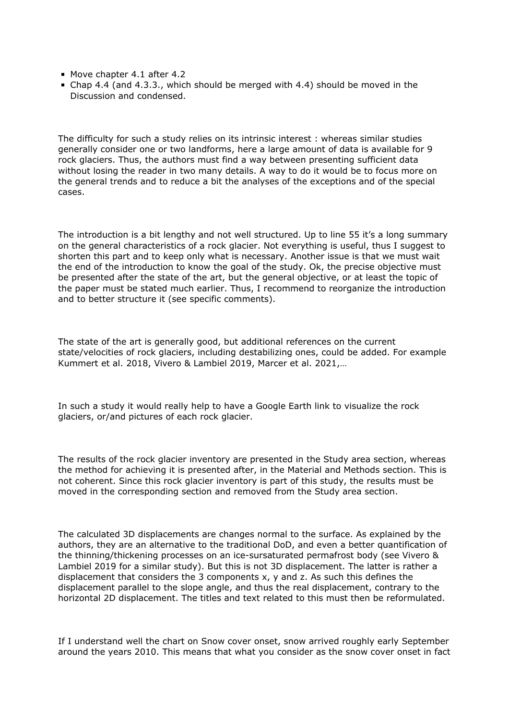- Move chapter 4.1 after 4.2
- Chap 4.4 (and 4.3.3., which should be merged with 4.4) should be moved in the Discussion and condensed.

The difficulty for such a study relies on its intrinsic interest : whereas similar studies generally consider one or two landforms, here a large amount of data is available for 9 rock glaciers. Thus, the authors must find a way between presenting sufficient data without losing the reader in two many details. A way to do it would be to focus more on the general trends and to reduce a bit the analyses of the exceptions and of the special cases.

The introduction is a bit lengthy and not well structured. Up to line 55 it's a long summary on the general characteristics of a rock glacier. Not everything is useful, thus I suggest to shorten this part and to keep only what is necessary. Another issue is that we must wait the end of the introduction to know the goal of the study. Ok, the precise objective must be presented after the state of the art, but the general objective, or at least the topic of the paper must be stated much earlier. Thus, I recommend to reorganize the introduction and to better structure it (see specific comments).

The state of the art is generally good, but additional references on the current state/velocities of rock glaciers, including destabilizing ones, could be added. For example Kummert et al. 2018, Vivero & Lambiel 2019, Marcer et al. 2021,…

In such a study it would really help to have a Google Earth link to visualize the rock glaciers, or/and pictures of each rock glacier.

The results of the rock glacier inventory are presented in the Study area section, whereas the method for achieving it is presented after, in the Material and Methods section. This is not coherent. Since this rock glacier inventory is part of this study, the results must be moved in the corresponding section and removed from the Study area section.

The calculated 3D displacements are changes normal to the surface. As explained by the authors, they are an alternative to the traditional DoD, and even a better quantification of the thinning/thickening processes on an ice-sursaturated permafrost body (see Vivero & Lambiel 2019 for a similar study). But this is not 3D displacement. The latter is rather a displacement that considers the 3 components x, y and z. As such this defines the displacement parallel to the slope angle, and thus the real displacement, contrary to the horizontal 2D displacement. The titles and text related to this must then be reformulated.

If I understand well the chart on Snow cover onset, snow arrived roughly early September around the years 2010. This means that what you consider as the snow cover onset in fact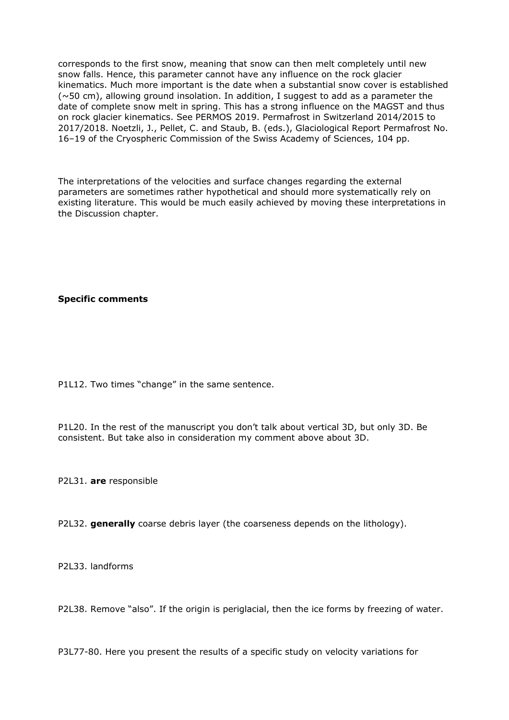corresponds to the first snow, meaning that snow can then melt completely until new snow falls. Hence, this parameter cannot have any influence on the rock glacier kinematics. Much more important is the date when a substantial snow cover is established  $(\sim 50 \text{ cm})$ , allowing ground insolation. In addition, I suggest to add as a parameter the date of complete snow melt in spring. This has a strong influence on the MAGST and thus on rock glacier kinematics. See PERMOS 2019. Permafrost in Switzerland 2014/2015 to 2017/2018. Noetzli, J., Pellet, C. and Staub, B. (eds.), Glaciological Report Permafrost No. 16–19 of the Cryospheric Commission of the Swiss Academy of Sciences, 104 pp.

The interpretations of the velocities and surface changes regarding the external parameters are sometimes rather hypothetical and should more systematically rely on existing literature. This would be much easily achieved by moving these interpretations in the Discussion chapter.

**Specific comments**

P1L12. Two times "change" in the same sentence.

P1L20. In the rest of the manuscript you don't talk about vertical 3D, but only 3D. Be consistent. But take also in consideration my comment above about 3D.

P2L31. **are** responsible

P2L32. **generally** coarse debris layer (the coarseness depends on the lithology).

P2L33. landforms

P2L38. Remove "also". If the origin is periglacial, then the ice forms by freezing of water.

P3L77-80. Here you present the results of a specific study on velocity variations for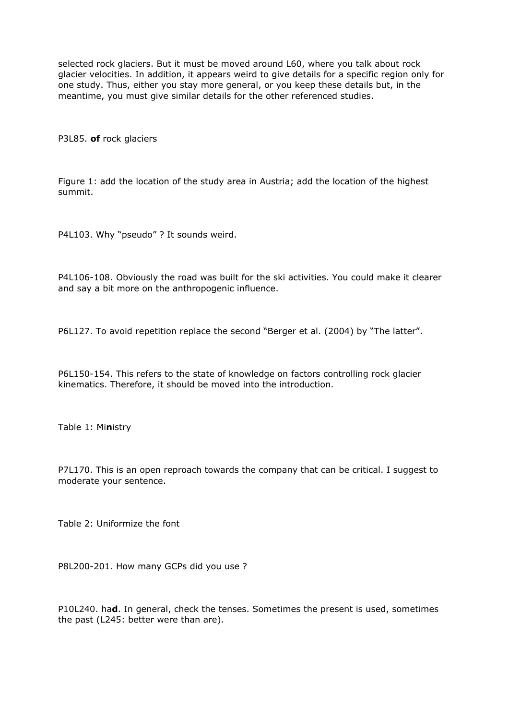selected rock glaciers. But it must be moved around L60, where you talk about rock glacier velocities. In addition, it appears weird to give details for a specific region only for one study. Thus, either you stay more general, or you keep these details but, in the meantime, you must give similar details for the other referenced studies.

P3L85. **of** rock glaciers

Figure 1: add the location of the study area in Austria; add the location of the highest summit.

P4L103. Why "pseudo" ? It sounds weird.

P4L106-108. Obviously the road was built for the ski activities. You could make it clearer and say a bit more on the anthropogenic influence.

P6L127. To avoid repetition replace the second "Berger et al. (2004) by "The latter".

P6L150-154. This refers to the state of knowledge on factors controlling rock glacier kinematics. Therefore, it should be moved into the introduction.

Table 1: Mi**n**istry

P7L170. This is an open reproach towards the company that can be critical. I suggest to moderate your sentence.

Table 2: Uniformize the font

P8L200-201. How many GCPs did you use ?

P10L240. ha**d**. In general, check the tenses. Sometimes the present is used, sometimes the past (L245: better were than are).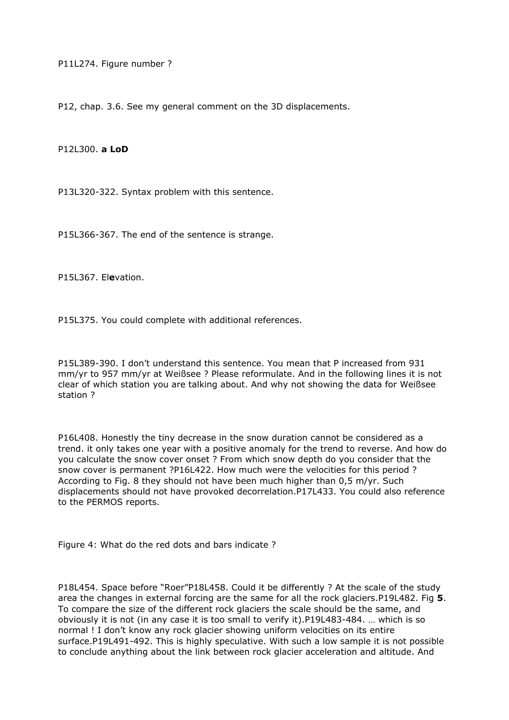P11L274. Figure number ?

P12, chap. 3.6. See my general comment on the 3D displacements.

P12L300. **a LoD**

P13L320-322. Syntax problem with this sentence.

P15L366-367. The end of the sentence is strange.

P15L367. El**e**vation.

P15L375. You could complete with additional references.

P15L389-390. I don't understand this sentence. You mean that P increased from 931 mm/yr to 957 mm/yr at Weißsee ? Please reformulate. And in the following lines it is not clear of which station you are talking about. And why not showing the data for Weißsee station ?

P16L408. Honestly the tiny decrease in the snow duration cannot be considered as a trend. it only takes one year with a positive anomaly for the trend to reverse. And how do you calculate the snow cover onset ? From which snow depth do you consider that the snow cover is permanent ?P16L422. How much were the velocities for this period ? According to Fig. 8 they should not have been much higher than 0,5 m/yr. Such displacements should not have provoked decorrelation.P17L433. You could also reference to the PERMOS reports.

Figure 4: What do the red dots and bars indicate ?

P18L454. Space before "Roer"P18L458. Could it be differently ? At the scale of the study area the changes in external forcing are the same for all the rock glaciers.P19L482. Fig **5**. To compare the size of the different rock glaciers the scale should be the same, and obviously it is not (in any case it is too small to verify it).P19L483-484. … which is so normal ! I don't know any rock glacier showing uniform velocities on its entire surface.P19L491-492. This is highly speculative. With such a low sample it is not possible to conclude anything about the link between rock glacier acceleration and altitude. And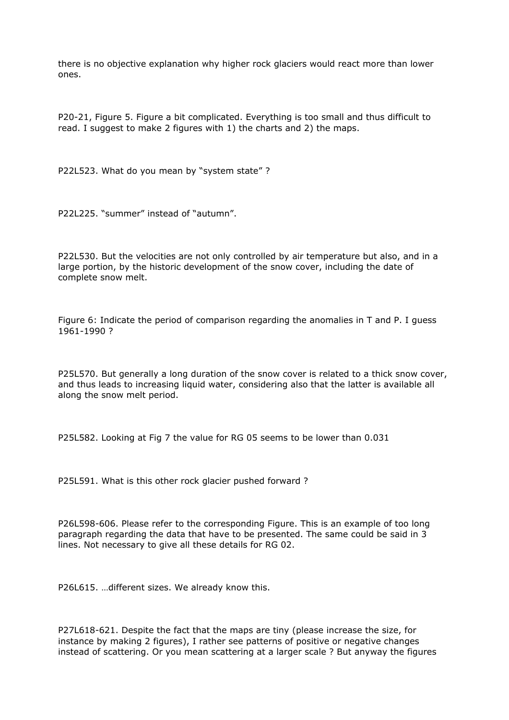there is no objective explanation why higher rock glaciers would react more than lower ones.

P20-21, Figure 5. Figure a bit complicated. Everything is too small and thus difficult to read. I suggest to make 2 figures with 1) the charts and 2) the maps.

P22L523. What do you mean by "system state" ?

P22L225. "summer" instead of "autumn".

P22L530. But the velocities are not only controlled by air temperature but also, and in a large portion, by the historic development of the snow cover, including the date of complete snow melt.

Figure 6: Indicate the period of comparison regarding the anomalies in T and P. I guess 1961-1990 ?

P25L570. But generally a long duration of the snow cover is related to a thick snow cover, and thus leads to increasing liquid water, considering also that the latter is available all along the snow melt period.

P25L582. Looking at Fig 7 the value for RG 05 seems to be lower than 0.031

P25L591. What is this other rock glacier pushed forward ?

P26L598-606. Please refer to the corresponding Figure. This is an example of too long paragraph regarding the data that have to be presented. The same could be said in 3 lines. Not necessary to give all these details for RG 02.

P26L615. …different sizes. We already know this.

P27L618-621. Despite the fact that the maps are tiny (please increase the size, for instance by making 2 figures), I rather see patterns of positive or negative changes instead of scattering. Or you mean scattering at a larger scale ? But anyway the figures